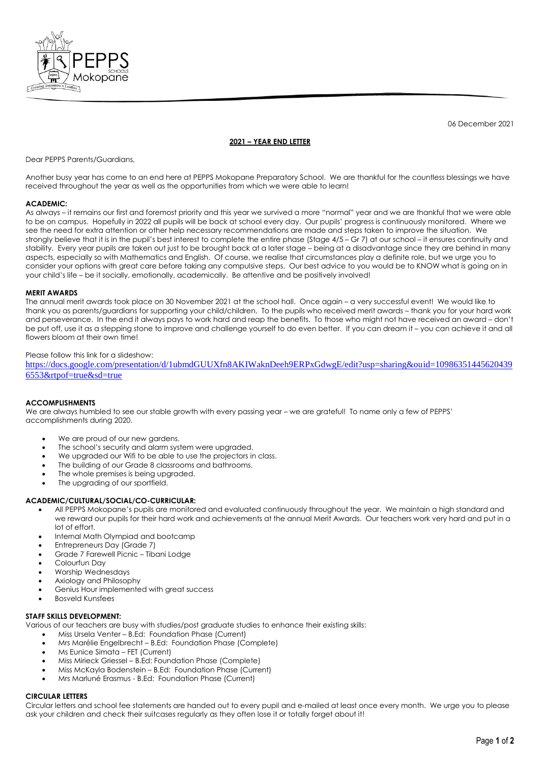

06 December 2021

# **2021 – YEAR END LETTER**

Dear PEPPS Parents/Guardians,

Another busy year has come to an end here at PEPPS Mokopane Preparatory School. We are thankful for the countless blessings we have received throughout the year as well as the opportunities from which we were able to learn!

## **ACADEMIC:**

As always – it remains our first and foremost priority and this year we survived a more "normal" year and we are thankful that we were able to be on campus. Hopefully in 2022 all pupils will be back at school every day. Our pupils' progress is continuously monitored. Where we see the need for extra attention or other help necessary recommendations are made and steps taken to improve the situation. We strongly believe that it is in the pupil's best interest to complete the entire phase (Stage 4/5 – Gr 7) at our school – it ensures continuity and stability. Every year pupils are taken out just to be brought back at a later stage – being at a disadvantage since they are behind in many aspects, especially so with Mathematics and English. Of course, we realise that circumstances play a definite role, but we urge you to consider your options with great care before taking any compulsive steps. Our best advice to you would be to KNOW what is going on in your child's life – be it socially, emotionally, academically. Be attentive and be positively involved!

### **MERIT AWARDS**

The annual merit awards took place on 30 November 2021 at the school hall. Once again – a very successful event! We would like to thank you as parents/guardians for supporting your child/children. To the pupils who received merit awards – thank you for your hard work and perseverance. In the end it always pays to work hard and reap the benefits. To those who might not have received an award – don't be put off, use it as a stepping stone to improve and challenge yourself to do even better. If you can dream it – you can achieve it and all flowers bloom at their own time!

### Please follow this link for a slideshow:

[https://docs.google.com/presentation/d/1ubmdGUUXfn8AKIWaknDeeh9ERPxGdwgE/edit?usp=sharing&ouid=10986351445620439](https://docs.google.com/presentation/d/1ubmdGUUXfn8AKIWaknDeeh9ERPxGdwgE/edit?usp=sharing&ouid=109863514456204396553&rtpof=true&sd=true) [6553&rtpof=true&sd=true](https://docs.google.com/presentation/d/1ubmdGUUXfn8AKIWaknDeeh9ERPxGdwgE/edit?usp=sharing&ouid=109863514456204396553&rtpof=true&sd=true)

## **ACCOMPLISHMENTS**

We are always humbled to see our stable growth with every passing year – we are grateful! To name only a few of PEPPS' accomplishments during 2020.

- We are proud of our new gardens.
- The school's security and alarm system were upgraded.
- We upgraded our Wifi to be able to use the projectors in class.
- The building of our Grade 8 classrooms and bathrooms.
- The whole premises is being upgraded.
- The upgrading of our sportfield.

## **ACADEMIC/CULTURAL/SOCIAL/CO-CURRICULAR:**

- All PEPPS Mokopane's pupils are monitored and evaluated continuously throughout the year. We maintain a high standard and we reward our pupils for their hard work and achievements at the annual Merit Awards. Our teachers work very hard and put in a lot of effort.
- Internal Math Olympiad and bootcamp
- Entrepreneurs Day (Grade 7)
- Grade 7 Farewell Picnic Tibani Lodge
- Colourfun Day
- Worship Wednesdays
- Axiology and Philosophy
- Genius Hour implemented with great success
- Bosveld Kunsfees

## **STAFF SKILLS DEVELOPMENT:**

Various of our teachers are busy with studies/post graduate studies to enhance their existing skills:

- Miss Ursela Venter B.Ed: Foundation Phase (Current)
- Mrs Marélie Engelbrecht B.Ed: Foundation Phase (Complete)
- Ms Eunice Simata FET (Current)
- Miss Mirieck Griessel B.Ed: Foundation Phase (Complete)
- Miss McKayla Bodenstein B.Ed: Foundation Phase (Current)
- Mrs Marluné Erasmus B.Ed: Foundation Phase (Current)

#### **CIRCULAR LETTERS**

Circular letters and school fee statements are handed out to every pupil and e-mailed at least once every month. We urge you to please ask your children and check their suitcases regularly as they often lose it or totally forget about it!